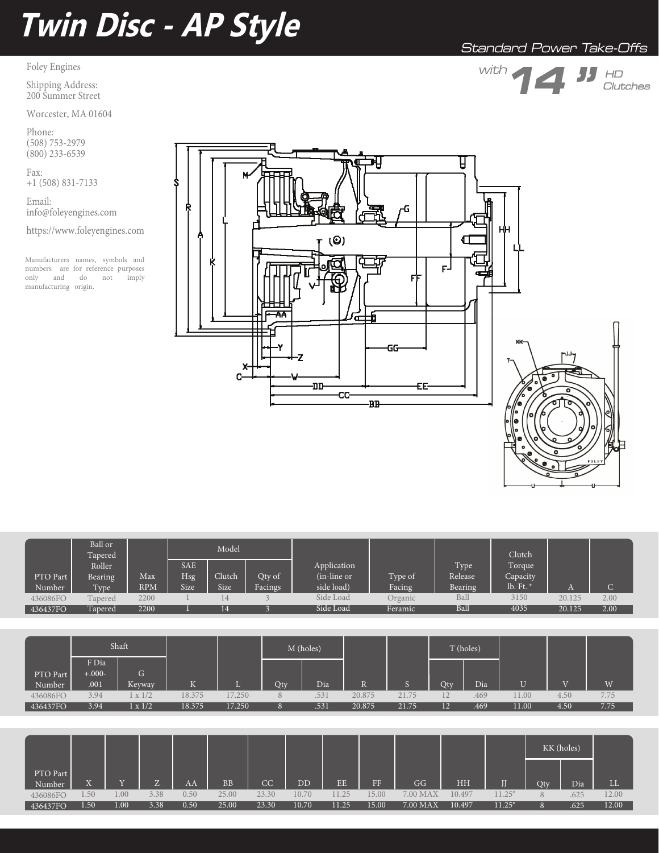# **Twin Disc - AP Style**

## Foley Engines

Shipping Address: 200 Summer Street

Worcester, MA 01604

Phone: (508) 753-2979  $(800)$  233-6539

Fax: +1 (508) 831-7133

Email: info@foleyengines.com

https://www.foleyengines.com

Manufacturers names, symbols and numbers are for reference purposes<br>only and do not imply only and do not manufacturing origin.





|          | Ball or<br>Tapered <b>\</b> |            |            | Model  |         |              |         |         | Clutch      |        |      |
|----------|-----------------------------|------------|------------|--------|---------|--------------|---------|---------|-------------|--------|------|
|          | Roller                      |            | <b>SAE</b> |        |         | Application  |         | Type    | Torque      |        |      |
| PTO Part | Bearing                     | Max        | Hsg        | Clutch | Qty of  | (in-line or) | Type of | Release | Capacity    |        |      |
| Number   | Type                        | <b>RPM</b> | Size       | Size   | Facings | side load)   | Facing  | Bearing | lb. Ft. $*$ |        |      |
| 436086FO | Tapered                     | 2200       |            | 14     |         | Side Load    | Organic | Ball    | 3150        | 20.125 | 2.00 |
| 436437FO | Tapered                     | 2200       |            | 14     |         | Side Load    | Feramic | Ball    | 4035        | 20.125 | 2.00 |

|                    |                   | Shaft          |        |        |          | M (holes) |        |       |                 | T (holes) |       |                |      |
|--------------------|-------------------|----------------|--------|--------|----------|-----------|--------|-------|-----------------|-----------|-------|----------------|------|
|                    | F Dia<br>$+.000-$ | G              |        |        |          |           |        |       |                 |           |       |                |      |
| PTO Part<br>Number | .001              | <b>Keyway</b>  | K      | ш      | Qty      | Dia       |        |       | Qty             | Dia       | U     | $\overline{V}$ | W    |
| 436086FO           | 3.94              | x1/2           | 18.375 | 17.250 | 8        | .531      | 20.875 | 21.75 |                 | .469      | 11.00 | 4.50           | 7.75 |
| 436437FO           | 3.94              | $1 \times 1/2$ | 18.375 | 17.250 | $\Omega$ | .531      | 20.875 | 21.75 | 12 <sub>1</sub> | .469      | 11.00 | 4.50           | 7.75 |

|                    |                                |           |                     |      |       |       |                          |       |       |          |           |                 | KK (holes) |      |            |
|--------------------|--------------------------------|-----------|---------------------|------|-------|-------|--------------------------|-------|-------|----------|-----------|-----------------|------------|------|------------|
| PTO Part<br>Number | $\overline{\mathbf{v}}$<br>- - | <b>TT</b> | $\overline{ }$<br>L | AA   | BB    | CC    | $\overline{\mathrm{DD}}$ | EE    | FF.   | GG       | <b>HH</b> | п               | Qty        | Dia  | <b>III</b> |
| 436086FO           | $.50^{+}$                      | 1.00      | 3.38                | 0.50 | 25.00 | 23.30 | 10.70                    | 11.25 | 15.00 | 7.00 MAX | 10.497    | $11.25^{\circ}$ | 8          | .625 | 12.00      |
| 436437FO           | 1.50                           | 00.1      | 3.38                | 0.50 | 25.00 | 23.30 | 10.70                    | 11.25 | 15.00 | 7.00 MAX | 10.497    | $11.25^{\circ}$ | 8          | .625 | 12.00      |

# Standard Power Take-Offs